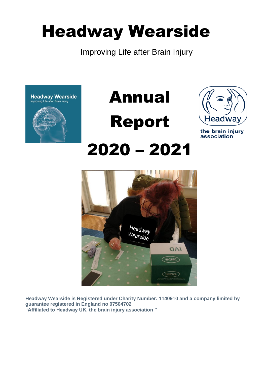# Headway Wearside

Improving Life after Brain Injury





2020 – 2021



the brain injury association



**Headway Wearside is Registered under Charity Number: 1140910 and a company limited by guarantee registered in England no 07504702 "Affiliated to Headway UK, the brain injury association "**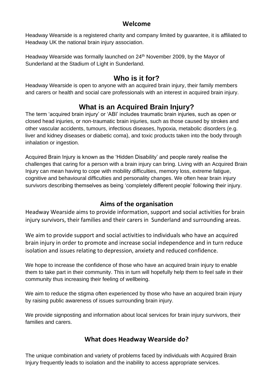#### **Welcome**

Headway Wearside is a registered charity and company limited by guarantee, it is affiliated to Headway UK the national brain injury association.

Headway Wearside was formally launched on 24th November 2009, by the Mayor of Sunderland at the Stadium of Light in Sunderland.

# **Who is it for?**

Headway Wearside is open to anyone with an acquired brain injury, their family members and carers or health and social care professionals with an interest in acquired brain injury.

# **What is an Acquired Brain Injury?**

The term 'acquired brain injury' or 'ABI' includes traumatic brain injuries, such as open or closed head injuries, or non-traumatic brain injuries, such as those caused by strokes and other vascular accidents, tumours, infectious diseases, hypoxia, metabolic disorders (e.g. liver and kidney diseases or diabetic coma), and toxic products taken into the body through inhalation or ingestion.

Acquired Brain Injury is known as the 'Hidden Disability' and people rarely realise the challenges that caring for a person with a brain injury can bring. Living with an Acquired Brain Injury can mean having to cope with mobility difficulties, memory loss, extreme fatigue, cognitive and behavioural difficulties and personality changes. We often hear brain injury survivors describing themselves as being 'completely different people' following their injury.

## **Aims of the organisation**

Headway Wearside aims to provide information, support and social activities for brain injury survivors, their families and their carers in Sunderland and surrounding areas.

We aim to provide support and social activities to individuals who have an acquired brain injury in order to promote and increase social independence and in turn reduce isolation and issues relating to depression, anxiety and reduced confidence.

We hope to increase the confidence of those who have an acquired brain injury to enable them to take part in their community. This in turn will hopefully help them to feel safe in their community thus increasing their feeling of wellbeing.

We aim to reduce the stigma often experienced by those who have an acquired brain injury by raising public awareness of issues surrounding brain injury.

We provide signposting and information about local services for brain injury survivors, their families and carers.

## **What does Headway Wearside do?**

The unique combination and variety of problems faced by individuals with Acquired Brain Injury frequently leads to isolation and the inability to access appropriate services.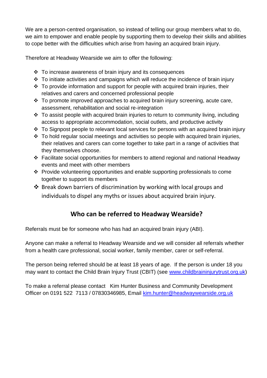We are a person-centred organisation, so instead of telling our group members what to do, we aim to empower and enable people by supporting them to develop their skills and abilities to cope better with the difficulties which arise from having an acquired brain injury.

Therefore at Headway Wearside we aim to offer the following:

- ❖ To increase awareness of brain injury and its consequences
- ❖ To initiate activities and campaigns which will reduce the incidence of brain injury
- ❖ To provide information and support for people with acquired brain injuries, their relatives and carers and concerned professional people
- ❖ To promote improved approaches to acquired brain injury screening, acute care, assessment, rehabilitation and social re-integration
- ❖ To assist people with acquired brain injuries to return to community living, including access to appropriate accommodation, social outlets, and productive activity
- ❖ To Signpost people to relevant local services for persons with an acquired brain injury
- ❖ To hold regular social meetings and activities so people with acquired brain injuries, their relatives and carers can come together to take part in a range of activities that they themselves choose.
- ❖ Facilitate social opportunities for members to attend regional and national Headway events and meet with other members
- ❖ Provide volunteering opportunities and enable supporting professionals to come together to support its members
- ❖ Break down barriers of discrimination by working with local groups and individuals to dispel any myths or issues about acquired brain injury.

## **Who can be referred to Headway Wearside?**

Referrals must be for someone who has had an acquired brain injury (ABI).

Anyone can make a referral to Headway Wearside and we will consider all referrals whether from a health care professional, social worker, family member, carer or self-referral.

The person being referred should be at least 18 years of age. If the person is under 18 you may want to contact the Child Brain Injury Trust (CBIT) (see [www.childbraininjurytrust.org.uk\)](http://www.childbraininjurytrust.org.uk/)

To make a referral please contact Kim Hunter Business and Community Development Officer on 0191 522 7113 / 07830346985, Email [kim.hunter@headwaywearside.org.uk](mailto:kim.hunter@headwaywearside.org.uk)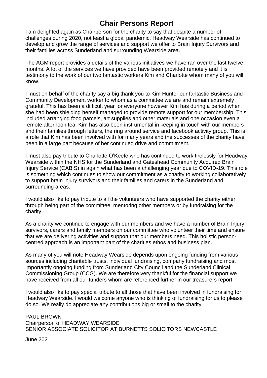# **Chair Persons Report**

I am delighted again as Chairperson for the charity to say that despite a number of challenges during 2020, not least a global pandemic, Headway Wearside has continued to develop and grow the range of services and support we offer to Brain Injury Survivors and their families across Sunderland and surrounding Wearside area.

The AGM report provides a details of the various initiatives we have ran over the last twelve months. A lot of the services we have provided have been provided remotely and it is testimony to the work of our two fantastic workers Kim and Charlotte whom many of you will know.

I must on behalf of the charity say a big thank you to Kim Hunter our fantastic Business and Community Development worker to whom as a committee we are and remain extremely grateful. This has been a difficult year for everyone however Kim has during a period when she had been shielding herself managed to provide remote support for our membership. This included arranging food parcels, art supplies and other materials and one occasion even a remote afternoon tea. Kim has also been instrumental in keeping in touch with our members and their families through letters, the ring around service and facebook activity group. This is a role that Kim has been involved with for many years and the successes of the charity have been in a large part because of her continued drive and commitment.

I must also pay tribute to Charlotte O'Keefe who has continued to work tirelessly for Headway Wearside within the NHS for the Sunderland and Gateshead Community Acquired Brain Injury Service (CABIS) in again what has been a challenging year due to COVID-19. This role is something which continues to show our commitment as a charity to working collaboratively to support brain injury survivors and their families and carers in the Sunderland and surrounding areas.

I would also like to pay tribute to all the volunteers who have supported the charity either through being part of the committee, mentoring other members or by fundraising for the charity.

As a charity we continue to engage with our members and we have a number of Brain Injury survivors, carers and family members on our committee who volunteer their time and ensure that we are delivering activities and support that our members need. This holistic personcentred approach is an important part of the charities ethos and business plan.

As many of you will note Headway Wearside depends upon ongoing funding from various sources including charitable trusts, individual fundraising, company fundraising and most importantly ongoing funding from Sunderland City Council and the Sunderland Clinical Commissioning Group (CCG). We are therefore very thankful for the financial support we have received from all our funders whom are referenced further in our treasurers report.

I would also like to pay special tribute to all those that have been involved in fundraising for Headway Wearside. I would welcome anyone who is thinking of fundraising for us to please do so. We really do appreciate any contributions big or small to the charity.

PAUL BROWN Chairperson of HEADWAY WEARSIDE SENIOR ASSOCIATE SOLICITOR AT BURNETTS SOLICITORS NEWCASTLE

June 2021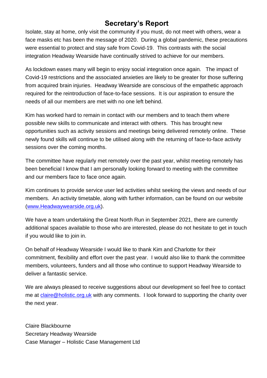# **Secretary's Report**

Isolate, stay at home, only visit the community if you must, do not meet with others, wear a face masks etc has been the message of 2020. During a global pandemic, these precautions were essential to protect and stay safe from Covid-19. This contrasts with the social integration Headway Wearside have continually strived to achieve for our members.

As lockdown eases many will begin to enjoy social integration once again. The impact of Covid-19 restrictions and the associated anxieties are likely to be greater for those suffering from acquired brain injuries. Headway Wearside are conscious of the empathetic approach required for the reintroduction of face-to-face sessions. It is our aspiration to ensure the needs of all our members are met with no one left behind.

Kim has worked hard to remain in contact with our members and to teach them where possible new skills to communicate and interact with others. This has brought new opportunities such as activity sessions and meetings being delivered remotely online. These newly found skills will continue to be utilised along with the returning of face-to-face activity sessions over the coming months.

The committee have regularly met remotely over the past year, whilst meeting remotely has been beneficial I know that I am personally looking forward to meeting with the committee and our members face to face once again.

Kim continues to provide service user led activities whilst seeking the views and needs of our members. An activity timetable, along with further information, can be found on our website [\(www.Headwaywearside.org.uk\)](http://www.headwaywearside.org.uk/).

We have a team undertaking the Great North Run in September 2021, there are currently additional spaces available to those who are interested, please do not hesitate to get in touch if you would like to join in.

On behalf of Headway Wearside I would like to thank Kim and Charlotte for their commitment, flexibility and effort over the past year. I would also like to thank the committee members, volunteers, funders and all those who continue to support Headway Wearside to deliver a fantastic service.

We are always pleased to receive suggestions about our development so feel free to contact me at [claire@holistic.org.uk](mailto:claire@holistic.org.uk) with any comments. I look forward to supporting the charity over the next year.

Claire Blackbourne Secretary Headway Wearside Case Manager – Holistic Case Management Ltd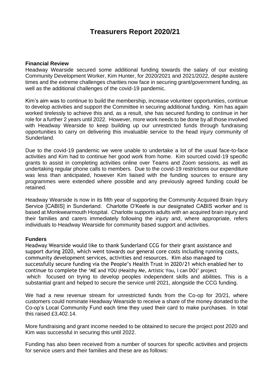# **Treasurers Report 2020/21**

#### **Financial Review**

Headway Wearside secured some additional funding towards the salary of our existing Community Development Worker, Kim Hunter, for 2020/2021 and 2021/2022, despite austere times and the extreme challenges charities now face in securing grant/government funding, as well as the additional challenges of the covid-19 pandemic.

Kim's aim was to continue to build the membership, increase volunteer opportunities, continue to develop activities and support the Committee in securing additional funding. Kim has again worked tirelessly to achieve this and, as a result, she has secured funding to continue in her role for a further 2 years until 2022. However, more work needs to be done by all those involved with Headway Wearside to keep building up our unrestricted funds through fundraising opportunities to carry on delivering this invaluable service to the head injury community of Sunderland.

Due to the covid-19 pandemic we were unable to undertake a lot of the usual face-to-face activities and Kim had to continue her good work from home. Kim sourced covid-19 specific grants to assist in completing activities online over Teams and Zoom sessions, as well as undertaking regular phone calls to members. Due to the covid-19 restrictions our expenditure was less than anticipated, however Kim liaised with the funding sources to ensure any programmes were extended where possible and any previously agreed funding could be retained.

Headway Wearside is now in its fifth year of supporting the Community Acquired Brain Injury Service [CABIS] in Sunderland. Charlotte O'Keefe is our designated CABIS worker and is based at Monkwearmouth Hospital. Charlotte supports adults with an acquired brain injury and their families and carers immediately following the injury and, where appropriate, refers individuals to Headway Wearside for community based support and activities.

#### **Funders**

Headway Wearside would like to thank Sunderland CCG for their grant assistance and support during 2020, which went towards our general core costs including running costs, community development services, activities and resources. Kim also managed to successfully secure funding via the People's Health Trust in 2020/21 which enabled her to continue to complete the 'ME and YOU (Healthy Me, Artistic You, I can DO)' project which focused on trying to develop peoples independent skills and abilities. This is a substantial grant and helped to secure the service until 2021, alongside the CCG funding.

We had a new revenue stream for unrestricted funds from the Co-op for 20/21, where customers could nominate Headway Wearside to receive a share of the money donated to the Co-op's Local Community Fund each time they used their card to make purchases. In total this raised £3,402.14.

More fundraising and grant income needed to be obtained to secure the project post 2020 and Kim was successful in securing this until 2022.

Funding has also been received from a number of sources for specific activities and projects for service users and their families and these are as follows: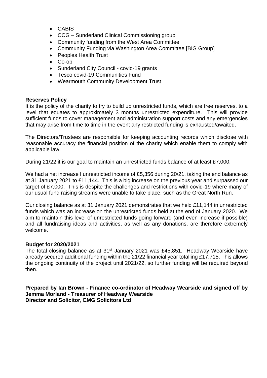- CABIS
- CCG Sunderland Clinical Commissioning group
- Community funding from the West Area Committee
- Community Funding via Washington Area Committee [BIG Group]
- Peoples Health Trust
- Co-op
- Sunderland City Council covid-19 grants
- Tesco covid-19 Communities Fund
- Wearmouth Community Development Trust

#### **Reserves Policy**

It is the policy of the charity to try to build up unrestricted funds, which are free reserves, to a level that equates to approximately 3 months unrestricted expenditure. This will provide sufficient funds to cover management and administration support costs and any emergencies that may arise from time to time in the event any restricted funding is exhausted/awaited.

The Directors/Trustees are responsible for keeping accounting records which disclose with reasonable accuracy the financial position of the charity which enable them to comply with applicable law.

During 21/22 it is our goal to maintain an unrestricted funds balance of at least £7,000.

We had a net increase I unrestricted income of £5,356 during 20/21, taking the end balance as at 31 January 2021 to £11,144. This is a big increase on the previous year and surpassed our target of £7,000. This is despite the challenges and restrictions with covid-19 where many of our usual fund raising streams were unable to take place, such as the Great North Run.

Our closing balance as at 31 January 2021 demonstrates that we held £11,144 in unrestricted funds which was an increase on the unrestricted funds held at the end of January 2020. We aim to maintain this level of unrestricted funds going forward (and even increase if possible) and all fundraising ideas and activities, as well as any donations, are therefore extremely welcome.

#### **Budget for 2020/2021**

The total closing balance as at  $31<sup>st</sup>$  January 2021 was £45,851. Headway Wearside have already secured additional funding within the 21/22 financial year totalling £17,715. This allows the ongoing continuity of the project until 2021/22, so further funding will be required beyond then.

**Prepared by Ian Brown - Finance co-ordinator of Headway Wearside and signed off by Jemma Morland - Treasurer of Headway Wearside Director and Solicitor, EMG Solicitors Ltd**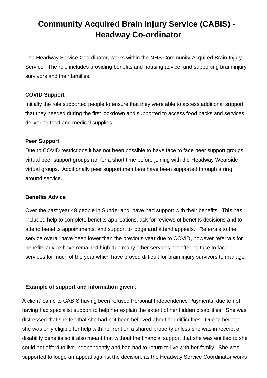# **Community Acquired Brain Injury Service (CABIS) - Headway Co-ordinator**

The Headway Service Coordinator, works within the NHS Community Acquired Brain Injury Service. The role includes providing benefits and housing advice, and supporting brain injury survivors and their families.

#### **COVID Support**

Initially the role supported people to ensure that they were able to access additional support that they needed during the first lockdown and supported to access food packs and services delivering food and medical supplies.

#### **Peer Support**

Due to COVID restrictions it has not been possible to have face to face peer support groups, virtual peer support groups ran for a short time before joining with the Headway Wearside virtual groups. Additionally peer support members have been supported through a ring around service.

#### **Benefits Advice**

Over the past year 49 people in Sunderland have had support with their benefits. This has included help to complete benefits applications, ask for reviews of benefits decisions and to attend benefits appointments, and support to lodge and attend appeals. Referrals to the service overall have been lower than the previous year due to COVID, however referrals for benefits advice have remained high due many other services not offering face to face services for much of the year which have proved difficult for brain injury survivors to manage.

#### **Example of support and information given .**

A client' came to CABIS having been refused Personal Independence Payments, due to not having had specialist support to help her explain the extent of her hidden disabilities. She was distressed that she felt that she had not been believed about her difficulties. Due to her age she was only eligible for help with her rent on a shared property unless she was in receipt of disability benefits so it also meant that without the financial support that she was entitled to she could not afford to live independently and had had to return to live with her family. She was supported to lodge an appeal against the decision, as the Headway Service Coordinator works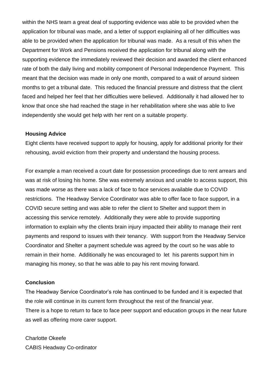within the NHS team a great deal of supporting evidence was able to be provided when the application for tribunal was made, and a letter of support explaining all of her difficulties was able to be provided when the application for tribunal was made. As a result of this when the Department for Work and Pensions received the application for tribunal along with the supporting evidence the immediately reviewed their decision and awarded the client enhanced rate of both the daily living and mobility component of Personal Independence Payment. This meant that the decision was made in only one month, compared to a wait of around sixteen months to get a tribunal date. This reduced the financial pressure and distress that the client faced and helped her feel that her difficulties were believed. Additionally it had allowed her to know that once she had reached the stage in her rehabilitation where she was able to live independently she would get help with her rent on a suitable property.

#### **Housing Advice**

Eight clients have received support to apply for housing, apply for additional priority for their rehousing, avoid eviction from their property and understand the housing process.

For example a man received a court date for possession proceedings due to rent arrears and was at risk of losing his home. She was extremely anxious and unable to access support, this was made worse as there was a lack of face to face services available due to COVID restrictions. The Headway Service Coordinator was able to offer face to face support, in a COVID secure setting and was able to refer the client to Shelter and support them in accessing this service remotely. Additionally they were able to provide supporting information to explain why the clients brain injury impacted their ability to manage their rent payments and respond to issues with their tenancy. With support from the Headway Service Coordinator and Shelter a payment schedule was agreed by the court so he was able to remain in their home. Additionally he was encouraged to let his parents support him in managing his money, so that he was able to pay his rent moving forward.

#### **Conclusion**

The Headway Service Coordinator's role has continued to be funded and it is expected that the role will continue in its current form throughout the rest of the financial year. There is a hope to return to face to face peer support and education groups in the near future as well as offering more carer support.

Charlotte Okeefe CABIS Headway Co-ordinator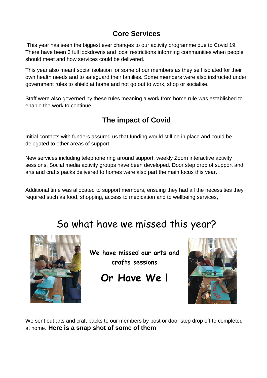# **Core Services**

This year has seen the biggest ever changes to our activity programme due to Covid 19. There have been 3 full lockdowns and local restrictions informing communities when people should meet and how services could be delivered.

This year also meant social isolation for some of our members as they self isolated for their own health needs and to safeguard their families. Some members were also instructed under government rules to shield at home and not go out to work, shop or socialise.

Staff were also governed by these rules meaning a work from home rule was established to enable the work to continue.

# **The impact of Covid**

Initial contacts with funders assured us that funding would still be in place and could be delegated to other areas of support.

New services including telephone ring around support, weekly Zoom interactive activity sessions, Social media activity groups have been developed. Door step drop of support and arts and crafts packs delivered to homes were also part the main focus this year.

Additional time was allocated to support members, ensuing they had all the necessities they required such as food, shopping, access to medication and to wellbeing services,

# So what have we missed this year?



**We have missed our arts and crafts sessions** 

**Or Have We !** 



We sent out arts and craft packs to our members by post or door step drop off to completed at home. **Here is a snap shot of some of them**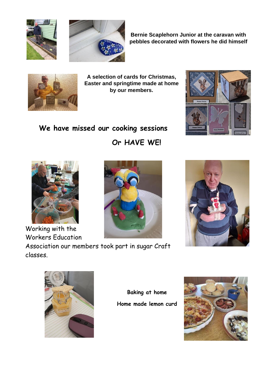



**Bernie Scaplehorn Junior at the caravan with pebbles decorated with flowers he did himself** 



**A selection of cards for Christmas, Easter and springtime made at home by our members.** 

# **We have missed our cooking sessions**

**Or HAVE WE!**



Working with the Workers Education

Association our members took part in sugar Craft classes.









**Baking at home Home made lemon curd** 

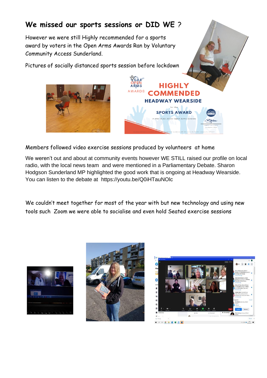# **We missed our sports sessions or DID WE** ?

However we were still Highly recommended for a sports award by voters in the Open Arms Awards Ran by Voluntary Community Access Sunderland.

Pictures of socially distanced sports session before lockdown





Members followed video exercise sessions produced by volunteers at home

We weren't out and about at community events however WE STILL raised our profile on local radio, with the local news team and were mentioned in a Parliamentary Debate. Sharon Hodgson Sunderland MP highlighted the good work that is ongoing at Headway Wearside. You can listen to the debate at https://youtu.be/Q0iHTauNOlc

We couldn't meet together for most of the year with but new technology and using new tools such Zoom we were able to socialise and even hold Seated exercise sessions





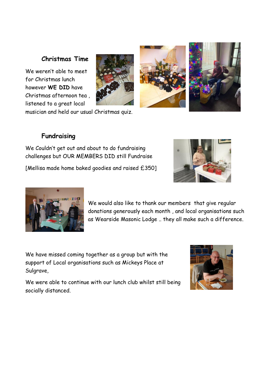#### **Christmas Time**

We weren't able to meet for Christmas lunch however **WE DID** have Christmas afternoon tea , listened to a great local

musician and held our usual Christmas quiz.

#### **Fundraising**

We Couldn't get out and about to do fundraising challenges but OUR MEMBERS DID still Fundraise

[Mellisa made home baked goodies and raised £350]

We would also like to thank our members that give regular donations generously each month , and local organisations such as Wearside Masonic Lodge .. they all make such a difference.

We have missed coming together as a group but with the support of Local organisations such as Mickeys Place at Sulgrave,

We were able to continue with our lunch club whilst still being socially distanced.









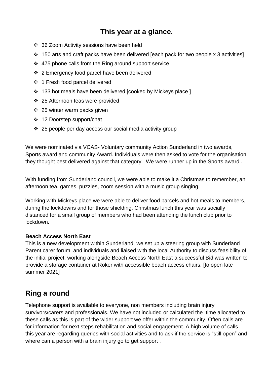# **This year at a glance.**

- ❖ 36 Zoom Activity sessions have been held
- ❖ 150 arts and craft packs have been delivered [each pack for two people x 3 activities]
- ❖ 475 phone calls from the Ring around support service
- ❖ 2 Emergency food parcel have been delivered
- ❖ 1 Fresh food parcel delivered
- ❖ 133 hot meals have been delivered [cooked by Mickeys place ]
- ❖ 25 Afternoon teas were provided
- ❖ 25 winter warm packs given
- ❖ 12 Doorstep support/chat
- ❖ 25 people per day access our social media activity group

We were nominated via VCAS- Voluntary community Action Sunderland in two awards, Sports award and community Award. Individuals were then asked to vote for the organisation they thought best delivered against that category. We were runner up in the Sports award .

With funding from Sunderland council, we were able to make it a Christmas to remember, an afternoon tea, games, puzzles, zoom session with a music group singing,

Working with Mickeys place we were able to deliver food parcels and hot meals to members, during the lockdowns and for those shielding. Christmas lunch this year was socially distanced for a small group of members who had been attending the lunch club prior to lockdown.

#### **Beach Access North East**

This is a new development within Sunderland, we set up a steering group with Sunderland Parent carer forum, and individuals and liaised with the local Authority to discuss feasibility of the initial project, working alongside Beach Access North East a successful Bid was written to provide a storage container at Roker with accessible beach access chairs. [to open late summer 2021]

# **Ring a round**

Telephone support is available to everyone, non members including brain injury survivors/carers and professionals. We have not included or calculated the time allocated to these calls as this is part of the wider support we offer within the community. Often calls are for information for next steps rehabilitation and social engagement. A high volume of calls this year are regarding queries with social activities and to ask if the service is "still open" and where can a person with a brain injury go to get support .